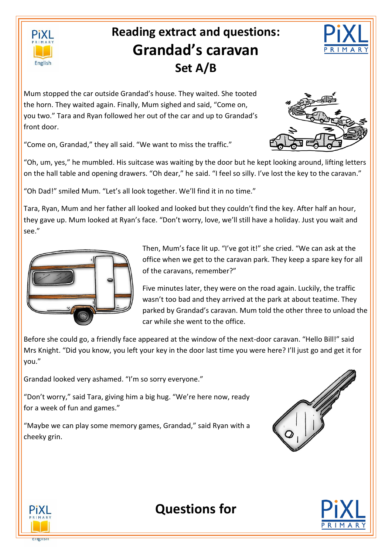

# **Reading extract and questions: Grandad's caravan Set A/B**



Mum stopped the car outside Grandad's house. They waited. She tooted the horn. They waited again. Finally, Mum sighed and said, "Come on, you two." Tara and Ryan followed her out of the car and up to Grandad's front door.



"Come on, Grandad," they all said. "We want to miss the traffic."

"Oh, um, yes," he mumbled. His suitcase was waiting by the door but he kept looking around, lifting letters on the hall table and opening drawers. "Oh dear," he said. "I feel so silly. I've lost the key to the caravan."

"Oh Dad!" smiled Mum. "Let's all look together. We'll find it in no time."

Tara, Ryan, Mum and her father all looked and looked but they couldn't find the key. After half an hour, they gave up. Mum looked at Ryan's face. "Don't worry, love, we'll still have a holiday. Just you wait and see."



Then, Mum's face lit up. "I've got it!" she cried. "We can ask at the office when we get to the caravan park. They keep a spare key for all of the caravans, remember?"

Five minutes later, they were on the road again. Luckily, the traffic wasn't too bad and they arrived at the park at about teatime. They parked by Grandad's caravan. Mum told the other three to unload the car while she went to the office.

Before she could go, a friendly face appeared at the window of the next-door caravan. "Hello Bill!" said Mrs Knight. "Did you know, you left your key in the door last time you were here? I'll just go and get it for you."

Grandad looked very ashamed. "I'm so sorry everyone."

"Don't worry," said Tara, giving him a big hug. "We're here now, ready for a week of fun and games."

"Maybe we can play some memory games, Grandad," said Ryan with a cheeky grin.





# **Questions for**

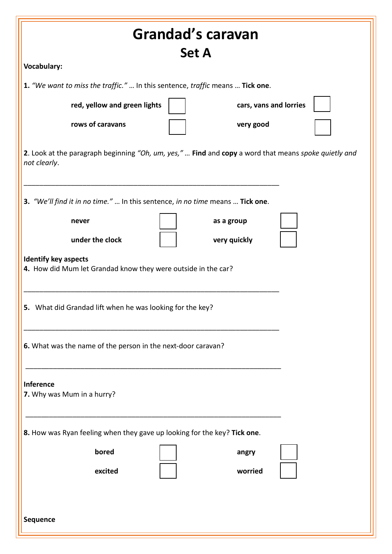| <b>Grandad's caravan</b><br><b>Set A</b>                                                                             |  |  |  |
|----------------------------------------------------------------------------------------------------------------------|--|--|--|
| <b>Vocabulary:</b>                                                                                                   |  |  |  |
| 1. "We want to miss the traffic."  In this sentence, traffic means  Tick one.                                        |  |  |  |
| red, yellow and green lights<br>cars, vans and lorries                                                               |  |  |  |
| rows of caravans<br>very good                                                                                        |  |  |  |
| 2. Look at the paragraph beginning "Oh, um, yes,"  Find and copy a word that means spoke quietly and<br>not clearly. |  |  |  |
| 3. "We'll find it in no time."  In this sentence, in no time means  Tick one.                                        |  |  |  |
| as a group<br>never                                                                                                  |  |  |  |
| under the clock<br>very quickly                                                                                      |  |  |  |
| <b>Identify key aspects</b><br>4. How did Mum let Grandad know they were outside in the car?                         |  |  |  |
| 5. What did Grandad lift when he was looking for the key?                                                            |  |  |  |
| 6. What was the name of the person in the next-door caravan?                                                         |  |  |  |
| <b>Inference</b><br>7. Why was Mum in a hurry?                                                                       |  |  |  |
| 8. How was Ryan feeling when they gave up looking for the key? Tick one.                                             |  |  |  |
| bored<br>angry<br>excited<br>worried                                                                                 |  |  |  |
| <b>Sequence</b>                                                                                                      |  |  |  |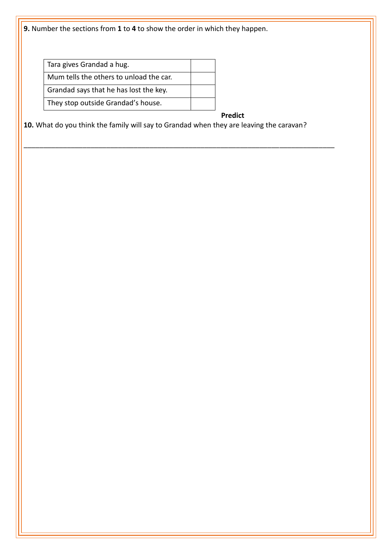**9.** Number the sections from **1** to **4** to show the order in which they happen.

Tara gives Grandad a hug.

Mum tells the others to unload the car.

Grandad says that he has lost the key.

They stop outside Grandad's house.

**Predict**

**10.** What do you think the family will say to Grandad when they are leaving the caravan?

\_\_\_\_\_\_\_\_\_\_\_\_\_\_\_\_\_\_\_\_\_\_\_\_\_\_\_\_\_\_\_\_\_\_\_\_\_\_\_\_\_\_\_\_\_\_\_\_\_\_\_\_\_\_\_\_\_\_\_\_\_\_\_\_\_\_\_\_\_\_\_\_\_\_\_\_\_\_\_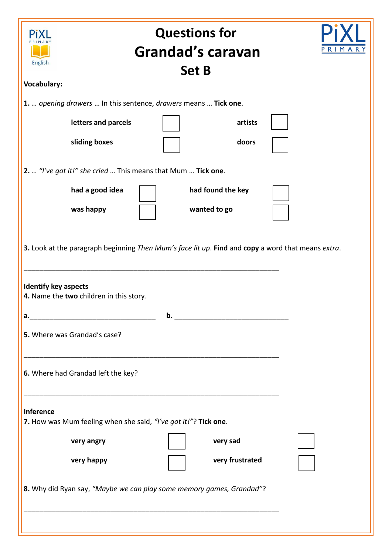|                                                                                                                                                                               | <b>Questions for</b>                                                                                                   |         |
|-------------------------------------------------------------------------------------------------------------------------------------------------------------------------------|------------------------------------------------------------------------------------------------------------------------|---------|
|                                                                                                                                                                               | <b>Grandad's caravan</b>                                                                                               | PRIMARY |
| English                                                                                                                                                                       | <b>Set B</b>                                                                                                           |         |
| Vocabulary:                                                                                                                                                                   |                                                                                                                        |         |
|                                                                                                                                                                               | 1.  opening drawers  In this sentence, drawers means  Tick one.                                                        |         |
| letters and parcels                                                                                                                                                           | artists                                                                                                                |         |
|                                                                                                                                                                               |                                                                                                                        |         |
| sliding boxes                                                                                                                                                                 | doors                                                                                                                  |         |
| 2.  "I've got it!" she cried  This means that Mum  Tick one.                                                                                                                  |                                                                                                                        |         |
| had a good idea                                                                                                                                                               | had found the key                                                                                                      |         |
|                                                                                                                                                                               |                                                                                                                        |         |
| was happy                                                                                                                                                                     | wanted to go                                                                                                           |         |
| <b>Identify key aspects</b><br>4. Name the two children in this story.                                                                                                        |                                                                                                                        |         |
|                                                                                                                                                                               |                                                                                                                        |         |
|                                                                                                                                                                               | b.                                                                                                                     |         |
|                                                                                                                                                                               |                                                                                                                        |         |
|                                                                                                                                                                               | <u> 1989 - Johann John Stoff, deutscher Stoffen und der Stoffen und der Stoffen und der Stoffen und der Stoffen un</u> |         |
|                                                                                                                                                                               |                                                                                                                        |         |
|                                                                                                                                                                               |                                                                                                                        |         |
| very angry                                                                                                                                                                    | very sad                                                                                                               |         |
| a.<br>5. Where was Grandad's case?<br>6. Where had Grandad left the key?<br><b>Inference</b><br>7. How was Mum feeling when she said, "I've got it!"? Tick one.<br>very happy | very frustrated                                                                                                        |         |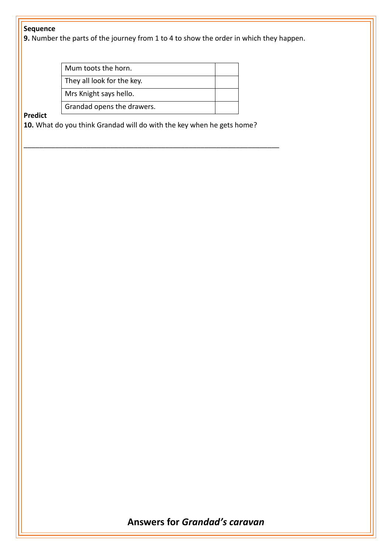#### **Sequence**

**9.** Number the parts of the journey from 1 to 4 to show the order in which they happen.

Mum toots the horn.

They all look for the key.

Mrs Knight says hello.

Grandad opens the drawers.

#### **Predict**

**10.** What do you think Grandad will do with the key when he gets home?

\_\_\_\_\_\_\_\_\_\_\_\_\_\_\_\_\_\_\_\_\_\_\_\_\_\_\_\_\_\_\_\_\_\_\_\_\_\_\_\_\_\_\_\_\_\_\_\_\_\_\_\_\_\_\_\_\_\_\_\_\_\_\_\_\_

**Answers for** *Grandad's caravan*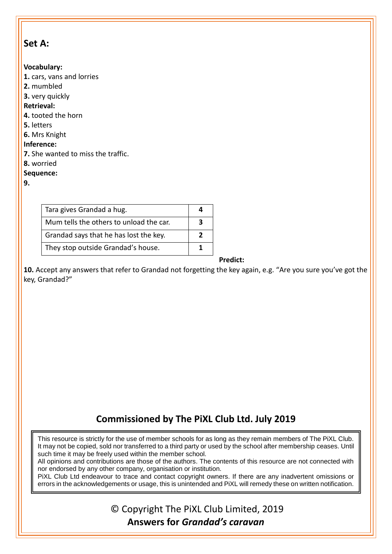### **Set A:**

#### **Vocabulary:**

- **1.** cars, vans and lorries
- **2.** mumbled
- **3.** very quickly

#### **Retrieval:**

- **4.** tooted the horn
- **5.** letters
- **6.** Mrs Knight

#### **Inference:**

- **7.** She wanted to miss the traffic.
- **8.** worried

#### **Sequence:**

**9.** 

| Tara gives Grandad a hug.               |   |
|-----------------------------------------|---|
| Mum tells the others to unload the car. | з |
| Grandad says that he has lost the key.  | 2 |
| They stop outside Grandad's house.      |   |

#### **Predict:**

**10.** Accept any answers that refer to Grandad not forgetting the key again, e.g. "Are you sure you've got the key, Grandad?"

## **Commissioned by The PiXL Club Ltd. July 2019**

This resource is strictly for the use of member schools for as long as they remain members of The PiXL Club. It may not be copied, sold nor transferred to a third party or used by the school after membership ceases. Until such time it may be freely used within the member school.

All opinions and contributions are those of the authors. The contents of this resource are not connected with nor endorsed by any other company, organisation or institution.

PiXL Club Ltd endeavour to trace and contact copyright owners. If there are any inadvertent omissions or errors in the acknowledgements or usage, this is unintended and PiXL will remedy these on written notification.

> © Copyright The PiXL Club Limited, 2019 **Answers for** *Grandad's caravan*